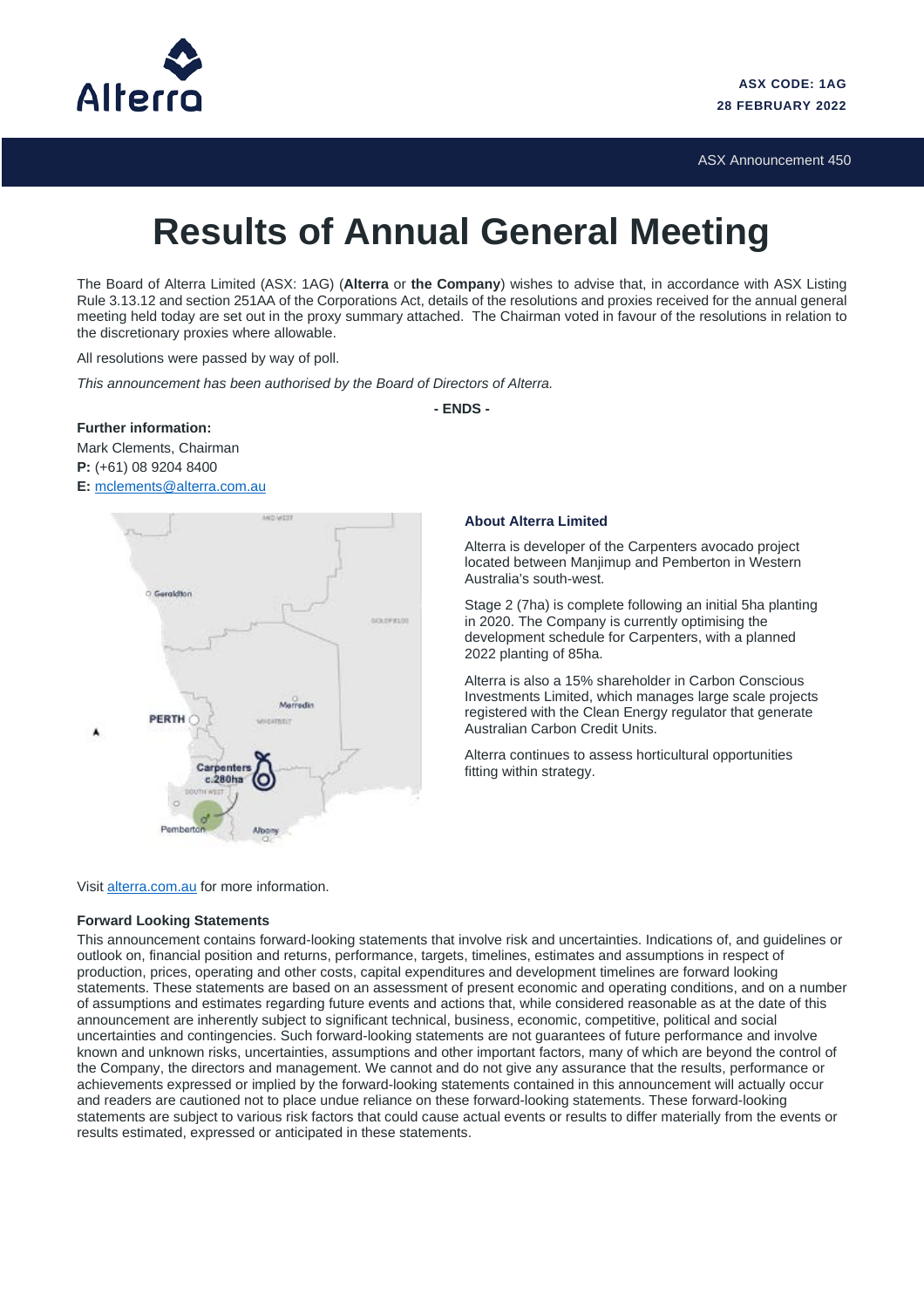

ASX Announcement 450

## **Results of Annual General Meeting**

The Board of Alterra Limited (ASX: 1AG) (**Alterra** or **the Company**) wishes to advise that, in accordance with ASX Listing Rule 3.13.12 and section 251AA of the Corporations Act, details of the resolutions and proxies received for the annual general meeting held today are set out in the proxy summary attached. The Chairman voted in favour of the resolutions in relation to the discretionary proxies where allowable.

All resolutions were passed by way of poll.

*This announcement has been authorised by the Board of Directors of Alterra.*

**- ENDS -**

**Further information:** Mark Clements, Chairman **P:** (+61) 08 9204 8400 **E:** [mclements@alterra.com.au](mailto:jmcglue@alterra.com.au)



## **About Alterra Limited**

Alterra is developer of the Carpenters avocado project located between Manjimup and Pemberton in Western Australia's south-west.

Stage 2 (7ha) is complete following an initial 5ha planting in 2020. The Company is currently optimising the development schedule for Carpenters, with a planned 2022 planting of 85ha.

Alterra is also a 15% shareholder in Carbon Conscious Investments Limited, which manages large scale projects registered with the Clean Energy regulator that generate Australian Carbon Credit Units.

Alterra continues to assess horticultural opportunities fitting within strategy.

Visit [alterra.com.au](http://alterra.com.au/) for more information.

## **Forward Looking Statements**

This announcement contains forward-looking statements that involve risk and uncertainties. Indications of, and guidelines or outlook on, financial position and returns, performance, targets, timelines, estimates and assumptions in respect of production, prices, operating and other costs, capital expenditures and development timelines are forward looking statements. These statements are based on an assessment of present economic and operating conditions, and on a number of assumptions and estimates regarding future events and actions that, while considered reasonable as at the date of this announcement are inherently subject to significant technical, business, economic, competitive, political and social uncertainties and contingencies. Such forward-looking statements are not guarantees of future performance and involve known and unknown risks, uncertainties, assumptions and other important factors, many of which are beyond the control of the Company, the directors and management. We cannot and do not give any assurance that the results, performance or achievements expressed or implied by the forward-looking statements contained in this announcement will actually occur and readers are cautioned not to place undue reliance on these forward-looking statements. These forward-looking statements are subject to various risk factors that could cause actual events or results to differ materially from the events or results estimated, expressed or anticipated in these statements.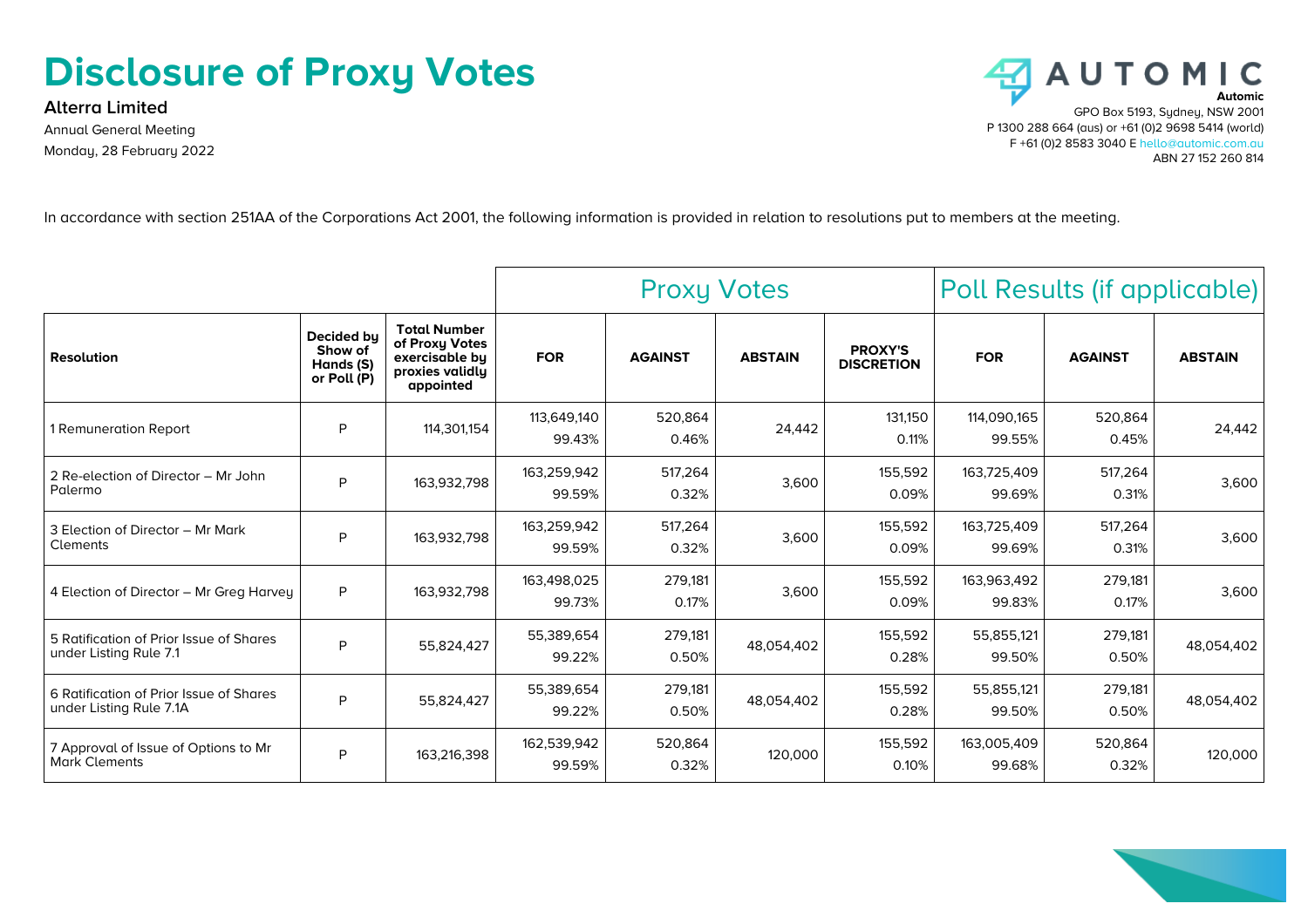## **Disclosure of Proxy Votes**

**Alterra Limited** Annual General Meeting Monday, 28 February 2022



In accordance with section 251AA of the Corporations Act 2001, the following information is provided in relation to resolutions put to members at the meeting.

|                                                                    |                                                   |                                                                                         | <b>Proxy Votes</b>    |                  |                | Poll Results (if applicable)        |                       |                  |                |
|--------------------------------------------------------------------|---------------------------------------------------|-----------------------------------------------------------------------------------------|-----------------------|------------------|----------------|-------------------------------------|-----------------------|------------------|----------------|
| <b>Resolution</b>                                                  | Decided by<br>Show of<br>Hands (S)<br>or Poll (P) | <b>Total Number</b><br>of Proxy Votes<br>exercisable bu<br>proxies validly<br>appointed | <b>FOR</b>            | <b>AGAINST</b>   | <b>ABSTAIN</b> | <b>PROXY'S</b><br><b>DISCRETION</b> | <b>FOR</b>            | <b>AGAINST</b>   | <b>ABSTAIN</b> |
| 1 Remuneration Report                                              | P                                                 | 114,301,154                                                                             | 113,649,140<br>99.43% | 520,864<br>0.46% | 24,442         | 131.150<br>0.11%                    | 114,090,165<br>99.55% | 520,864<br>0.45% | 24,442         |
| 2 Re-election of Director - Mr John<br>Palermo                     | P                                                 | 163.932.798                                                                             | 163,259,942<br>99.59% | 517,264<br>0.32% | 3,600          | 155,592<br>0.09%                    | 163,725,409<br>99.69% | 517,264<br>0.31% | 3,600          |
| 3 Election of Director - Mr Mark<br>Clements                       | P                                                 | 163,932,798                                                                             | 163,259,942<br>99.59% | 517,264<br>0.32% | 3,600          | 155,592<br>0.09%                    | 163,725,409<br>99.69% | 517,264<br>0.31% | 3,600          |
| 4 Election of Director - Mr Greg Harvey                            | P                                                 | 163,932,798                                                                             | 163,498,025<br>99.73% | 279,181<br>0.17% | 3,600          | 155,592<br>0.09%                    | 163,963,492<br>99.83% | 279,181<br>0.17% | 3,600          |
| 5 Ratification of Prior Issue of Shares<br>under Listing Rule 7.1  | P                                                 | 55,824,427                                                                              | 55.389.654<br>99.22%  | 279,181<br>0.50% | 48,054,402     | 155,592<br>0.28%                    | 55,855,121<br>99.50%  | 279,181<br>0.50% | 48,054,402     |
| 6 Ratification of Prior Issue of Shares<br>under Listing Rule 7.1A | P                                                 | 55.824.427                                                                              | 55,389,654<br>99.22%  | 279,181<br>0.50% | 48.054.402     | 155,592<br>0.28%                    | 55,855,121<br>99.50%  | 279,181<br>0.50% | 48,054,402     |
| 7 Approval of Issue of Options to Mr<br><b>Mark Clements</b>       | P                                                 | 163,216,398                                                                             | 162,539,942<br>99.59% | 520,864<br>0.32% | 120,000        | 155,592<br>0.10%                    | 163,005,409<br>99.68% | 520,864<br>0.32% | 120,000        |